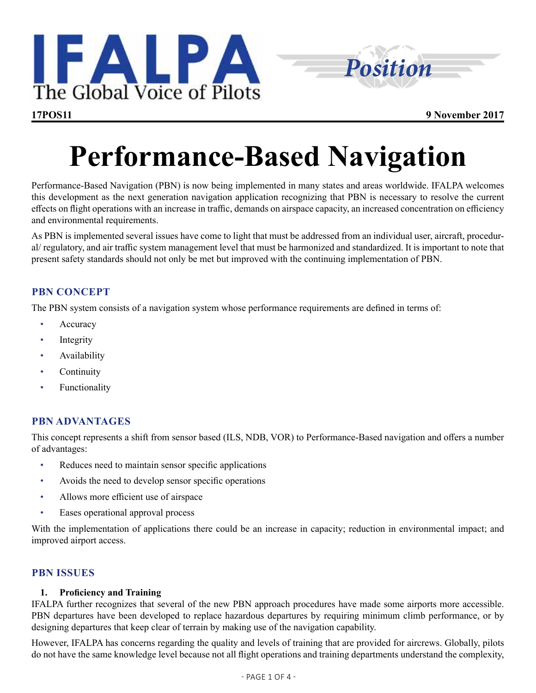



# **Performance-Based Navigation**

Performance-Based Navigation (PBN) is now being implemented in many states and areas worldwide. IFALPA welcomes this development as the next generation navigation application recognizing that PBN is necessary to resolve the current effects on flight operations with an increase in traffic, demands on airspace capacity, an increased concentration on efficiency and environmental requirements.

As PBN is implemented several issues have come to light that must be addressed from an individual user, aircraft, procedural/ regulatory, and air traffic system management level that must be harmonized and standardized. It is important to note that present safety standards should not only be met but improved with the continuing implementation of PBN.

# **PBN CONCEPT**

The PBN system consists of a navigation system whose performance requirements are defined in terms of:

- **Accuracy**
- Integrity
- Availability
- **Continuity**
- **Functionality**

# **PBN ADVANTAGES**

This concept represents a shift from sensor based (ILS, NDB, VOR) to Performance-Based navigation and offers a number of advantages:

- Reduces need to maintain sensor specific applications
- Avoids the need to develop sensor specific operations
- Allows more efficient use of airspace
- Eases operational approval process

With the implementation of applications there could be an increase in capacity; reduction in environmental impact; and improved airport access.

# **PBN ISSUES**

# **1. Proficiency and Training**

IFALPA further recognizes that several of the new PBN approach procedures have made some airports more accessible. PBN departures have been developed to replace hazardous departures by requiring minimum climb performance, or by designing departures that keep clear of terrain by making use of the navigation capability.

However, IFALPA has concerns regarding the quality and levels of training that are provided for aircrews. Globally, pilots do not have the same knowledge level because not all flight operations and training departments understand the complexity,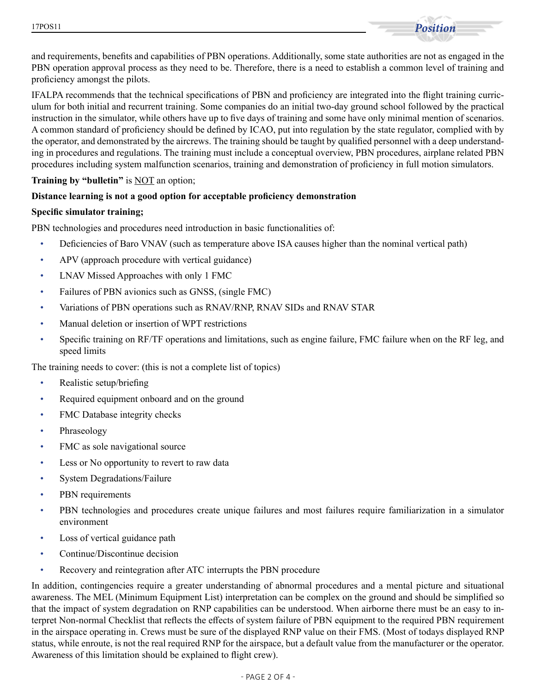

and requirements, benefits and capabilities of PBN operations. Additionally, some state authorities are not as engaged in the PBN operation approval process as they need to be. Therefore, there is a need to establish a common level of training and proficiency amongst the pilots.

IFALPA recommends that the technical specifications of PBN and proficiency are integrated into the flight training curriculum for both initial and recurrent training. Some companies do an initial two-day ground school followed by the practical instruction in the simulator, while others have up to five days of training and some have only minimal mention of scenarios. A common standard of proficiency should be defined by ICAO, put into regulation by the state regulator, complied with by the operator, and demonstrated by the aircrews. The training should be taught by qualified personnel with a deep understanding in procedures and regulations. The training must include a conceptual overview, PBN procedures, airplane related PBN procedures including system malfunction scenarios, training and demonstration of proficiency in full motion simulators.

## **Training by "bulletin"** is <u>NOT</u> an option;

## **Distance learning is not a good option for acceptable proficiency demonstration**

#### **Specific simulator training;**

PBN technologies and procedures need introduction in basic functionalities of:

- Deficiencies of Baro VNAV (such as temperature above ISA causes higher than the nominal vertical path)
- APV (approach procedure with vertical guidance)
- LNAV Missed Approaches with only 1 FMC
- Failures of PBN avionics such as GNSS, (single FMC)
- Variations of PBN operations such as RNAV/RNP, RNAV SIDs and RNAV STAR
- Manual deletion or insertion of WPT restrictions
- Specific training on RF/TF operations and limitations, such as engine failure, FMC failure when on the RF leg, and speed limits

The training needs to cover: (this is not a complete list of topics)

- Realistic setup/briefing
- Required equipment onboard and on the ground
- FMC Database integrity checks
- Phraseology
- FMC as sole navigational source
- Less or No opportunity to revert to raw data
- System Degradations/Failure
- PBN requirements
- PBN technologies and procedures create unique failures and most failures require familiarization in a simulator environment
- Loss of vertical guidance path
- Continue/Discontinue decision
- Recovery and reintegration after ATC interrupts the PBN procedure

In addition, contingencies require a greater understanding of abnormal procedures and a mental picture and situational awareness. The MEL (Minimum Equipment List) interpretation can be complex on the ground and should be simplified so that the impact of system degradation on RNP capabilities can be understood. When airborne there must be an easy to interpret Non-normal Checklist that reflects the effects of system failure of PBN equipment to the required PBN requirement in the airspace operating in. Crews must be sure of the displayed RNP value on their FMS. (Most of todays displayed RNP status, while enroute, is not the real required RNP for the airspace, but a default value from the manufacturer or the operator. Awareness of this limitation should be explained to flight crew).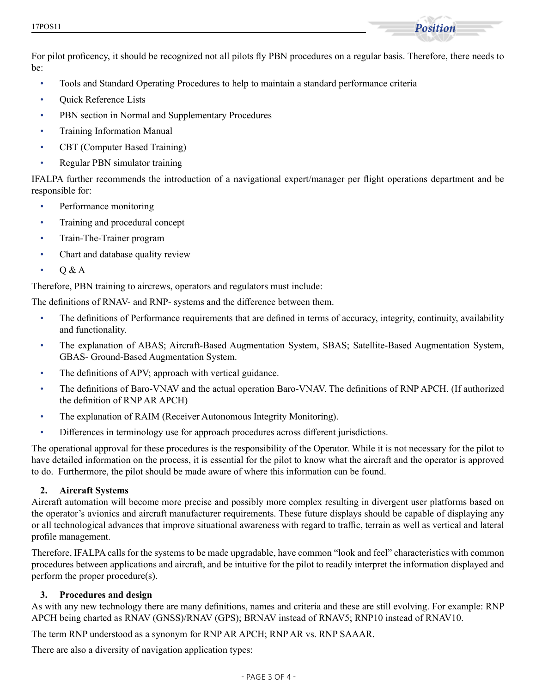

For pilot proficency, it should be recognized not all pilots fly PBN procedures on a regular basis. Therefore, there needs to be:

- Tools and Standard Operating Procedures to help to maintain a standard performance criteria
- Quick Reference Lists
- PBN section in Normal and Supplementary Procedures
- Training Information Manual
- CBT (Computer Based Training)
- Regular PBN simulator training

IFALPA further recommends the introduction of a navigational expert/manager per flight operations department and be responsible for:

- Performance monitoring
- Training and procedural concept
- Train-The-Trainer program
- Chart and database quality review
- Q & A

Therefore, PBN training to aircrews, operators and regulators must include:

The definitions of RNAV- and RNP- systems and the difference between them.

- The definitions of Performance requirements that are defined in terms of accuracy, integrity, continuity, availability and functionality.
- The explanation of ABAS; Aircraft-Based Augmentation System, SBAS; Satellite-Based Augmentation System, GBAS- Ground-Based Augmentation System.
- The definitions of APV; approach with vertical guidance.
- The definitions of Baro-VNAV and the actual operation Baro-VNAV. The definitions of RNP APCH. (If authorized the definition of RNP AR APCH)
- The explanation of RAIM (Receiver Autonomous Integrity Monitoring).
- Differences in terminology use for approach procedures across different jurisdictions.

The operational approval for these procedures is the responsibility of the Operator. While it is not necessary for the pilot to have detailed information on the process, it is essential for the pilot to know what the aircraft and the operator is approved to do. Furthermore, the pilot should be made aware of where this information can be found.

# **2. Aircraft Systems**

Aircraft automation will become more precise and possibly more complex resulting in divergent user platforms based on the operator's avionics and aircraft manufacturer requirements. These future displays should be capable of displaying any or all technological advances that improve situational awareness with regard to traffic, terrain as well as vertical and lateral profile management.

Therefore, IFALPA calls for the systems to be made upgradable, have common "look and feel" characteristics with common procedures between applications and aircraft, and be intuitive for the pilot to readily interpret the information displayed and perform the proper procedure(s).

# **3. Procedures and design**

As with any new technology there are many definitions, names and criteria and these are still evolving. For example: RNP APCH being charted as RNAV (GNSS)/RNAV (GPS); BRNAV instead of RNAV5; RNP10 instead of RNAV10.

The term RNP understood as a synonym for RNP AR APCH; RNP AR vs. RNP SAAAR.

There are also a diversity of navigation application types: